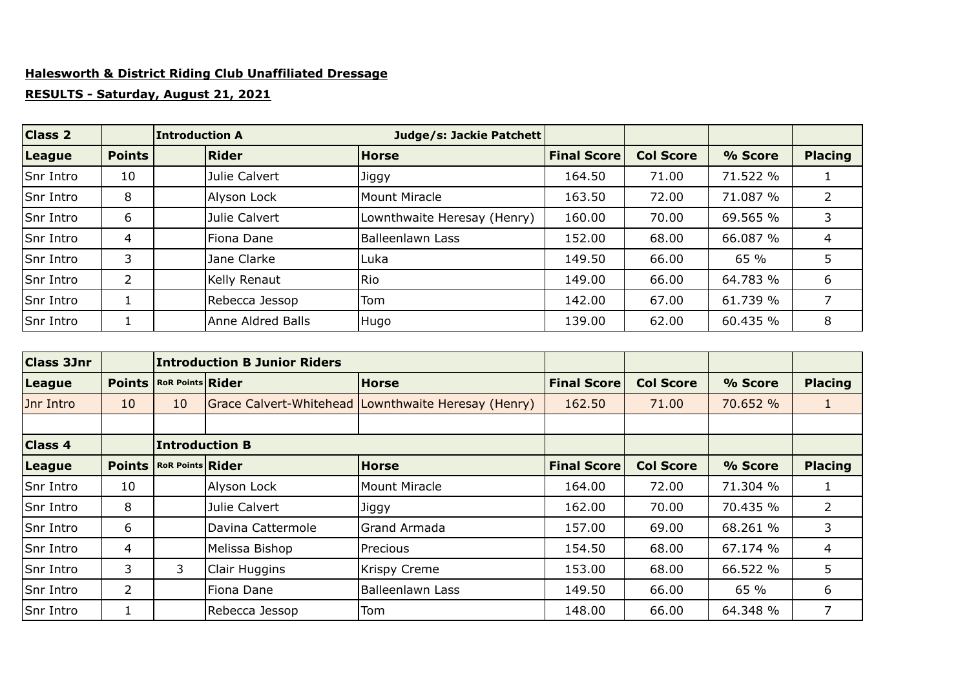## **Halesworth & District Riding Club Unaffiliated Dressage**

## **RESULTS - Saturday, August 21, 2021**

| Class 2          |               | <b>Introduction A</b> |                   | Judge/s: Jackie Patchett    |                    |                  |          |                |
|------------------|---------------|-----------------------|-------------------|-----------------------------|--------------------|------------------|----------|----------------|
| League           | <b>Points</b> |                       | Rider             | <b>Horse</b>                | <b>Final Score</b> | <b>Col Score</b> | % Score  | <b>Placing</b> |
| Snr Intro        | 10            |                       | Julie Calvert     | Jiggy                       | 164.50             | 71.00            | 71.522 % |                |
| <b>Snr Intro</b> | 8             |                       | Alyson Lock       | Mount Miracle               | 163.50             | 72.00            | 71.087 % | $\overline{2}$ |
| Snr Intro        | 6             |                       | Julie Calvert     | Lownthwaite Heresay (Henry) | 160.00             | 70.00            | 69.565 % |                |
| Snr Intro        | 4             |                       | Fiona Dane        | <b>Balleenlawn Lass</b>     | 152.00             | 68.00            | 66.087 % | 4              |
| Snr Intro        | 3             |                       | Jane Clarke       | Luka                        | 149.50             | 66.00            | 65 %     | 5              |
| Snr Intro        | 2             |                       | Kelly Renaut      | Rio                         | 149.00             | 66.00            | 64.783 % | 6              |
| Snr Intro        |               |                       | Rebecca Jessop    | Tom                         | 142.00             | 67.00            | 61.739 % | 7              |
| Snr Intro        |               |                       | Anne Aldred Balls | Hugo                        | 139.00             | 62.00            | 60.435 % | 8              |

| Class 3Jnr     |               |                                    | <b>Introduction B Junior Riders</b> |                                                     |                    |                  |          |                |
|----------------|---------------|------------------------------------|-------------------------------------|-----------------------------------------------------|--------------------|------------------|----------|----------------|
| League         |               | <b>Points   RoR Points   Rider</b> |                                     | <b>Horse</b>                                        | <b>Final Score</b> | <b>Col Score</b> | % Score  | <b>Placing</b> |
| Jnr Intro      | 10            | 10                                 |                                     | Grace Calvert-Whitehead Lownthwaite Heresay (Henry) | 162.50             | 71.00            | 70.652 % |                |
|                |               |                                    |                                     |                                                     |                    |                  |          |                |
| <b>Class 4</b> |               | <b>Introduction B</b>              |                                     |                                                     |                    |                  |          |                |
| League         | <b>Points</b> | <b>RoR Points Rider</b>            |                                     | <b>Horse</b>                                        | <b>Final Score</b> | <b>Col Score</b> | % Score  | <b>Placing</b> |
| Snr Intro      | 10            |                                    | Alyson Lock                         | Mount Miracle                                       | 164.00             | 72.00            | 71.304 % | 1              |
| Snr Intro      | 8             |                                    | Julie Calvert                       | Jiggy                                               | 162.00             | 70.00            | 70.435 % | 2              |
| Snr Intro      | 6             |                                    | Davina Cattermole                   | Grand Armada                                        | 157.00             | 69.00            | 68.261 % | 3              |
| Snr Intro      | 4             |                                    | Melissa Bishop                      | Precious                                            | 154.50             | 68.00            | 67.174 % | 4              |
| Snr Intro      | 3             | 3.                                 | Clair Huggins                       | <b>Krispy Creme</b>                                 | 153.00             | 68.00            | 66.522 % | 5              |
| Snr Intro      | 2             |                                    | Fiona Dane                          | <b>Balleenlawn Lass</b>                             | 149.50             | 66.00            | 65 %     | 6              |
| Snr Intro      | 1             |                                    | Rebecca Jessop                      | Tom                                                 | 148.00             | 66.00            | 64.348 % | 7              |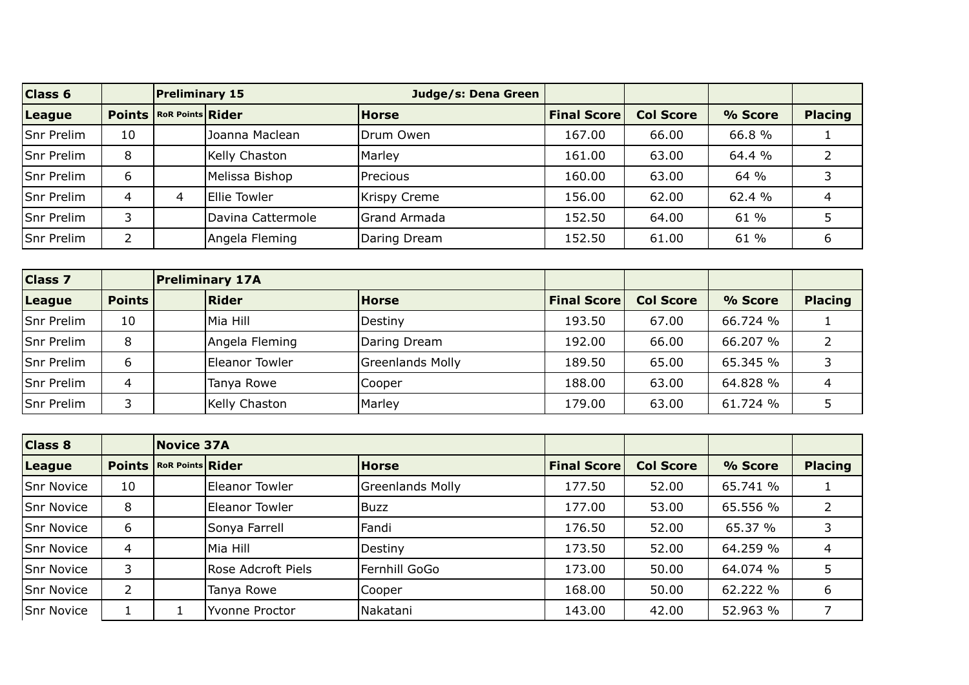| $\overline{\text{Class } 6}$ |    | <b>Preliminary 15</b>              |                   | Judge/s: Dena Green |                    |                  |         |                |
|------------------------------|----|------------------------------------|-------------------|---------------------|--------------------|------------------|---------|----------------|
| League                       |    | <b>Points   RoR Points   Rider</b> |                   | Horse               | <b>Final Score</b> | <b>Col Score</b> | % Score | <b>Placing</b> |
| <b>Snr Prelim</b>            | 10 |                                    | Joanna Maclean    | Drum Owen           | 167.00             | 66.00            | 66.8%   |                |
| Snr Prelim                   | 8  |                                    | Kelly Chaston     | Marley              | 161.00             | 63.00            | 64.4 %  |                |
| <b>Snr Prelim</b>            | 6  |                                    | Melissa Bishop    | Precious            | 160.00             | 63.00            | 64 %    |                |
| Snr Prelim                   | 4  | 4                                  | Ellie Towler      | <b>Krispy Creme</b> | 156.00             | 62.00            | 62.4 %  |                |
| Snr Prelim                   | 3  |                                    | Davina Cattermole | Grand Armada        | 152.50             | 64.00            | 61 %    |                |
| <b>Snr Prelim</b>            |    |                                    | Angela Fleming    | Daring Dream        | 152.50             | 61.00            | 61 %    | 6              |

| Class 7    |               | <b>Preliminary 17A</b> |                         |                    |                  |          |                |
|------------|---------------|------------------------|-------------------------|--------------------|------------------|----------|----------------|
| League     | <b>Points</b> | Rider                  | <b>Horse</b>            | <b>Final Score</b> | <b>Col Score</b> | % Score  | <b>Placing</b> |
| Snr Prelim | 10            | lMia Hill              | Destiny                 | 193.50             | 67.00            | 66.724 % |                |
| Snr Prelim | 8             | Angela Fleming         | Daring Dream            | 192.00             | 66.00            | 66.207 % |                |
| Snr Prelim | 6             | Eleanor Towler         | <b>Greenlands Molly</b> | 189.50             | 65.00            | 65.345 % |                |
| Snr Prelim | 4             | Tanya Rowe             | Cooper                  | 188.00             | 63.00            | 64.828 % | 4              |
| Snr Prelim | 3             | Kelly Chaston          | Marley                  | 179.00             | 63.00            | 61.724 % |                |

| Class 8    |    | <b>Novice 37A</b>                  |                    |                         |                    |                  |          |                |
|------------|----|------------------------------------|--------------------|-------------------------|--------------------|------------------|----------|----------------|
| League     |    | <b>Points   RoR Points   Rider</b> |                    | <b>Horse</b>            | <b>Final Score</b> | <b>Col Score</b> | % Score  | <b>Placing</b> |
| Snr Novice | 10 |                                    | Eleanor Towler     | <b>Greenlands Molly</b> | 177.50             | 52.00            | 65.741 % |                |
| Snr Novice | 8  |                                    | Eleanor Towler     | Buzz                    | 177.00             | 53.00            | 65.556 % |                |
| Snr Novice | 6  |                                    | Sonya Farrell      | Fandi                   | 176.50             | 52.00            | 65.37 %  |                |
| Snr Novice | 4  |                                    | Mia Hill           | Destiny                 | 173.50             | 52.00            | 64.259 % | 4              |
| Snr Novice | 3  |                                    | Rose Adcroft Piels | Fernhill GoGo           | 173.00             | 50.00            | 64.074 % | 5              |
| Snr Novice | 2  |                                    | Tanya Rowe         | Cooper                  | 168.00             | 50.00            | 62.222 % | 6              |
| Snr Novice |    |                                    | Yvonne Proctor     | Nakatani                | 143.00             | 42.00            | 52.963 % |                |